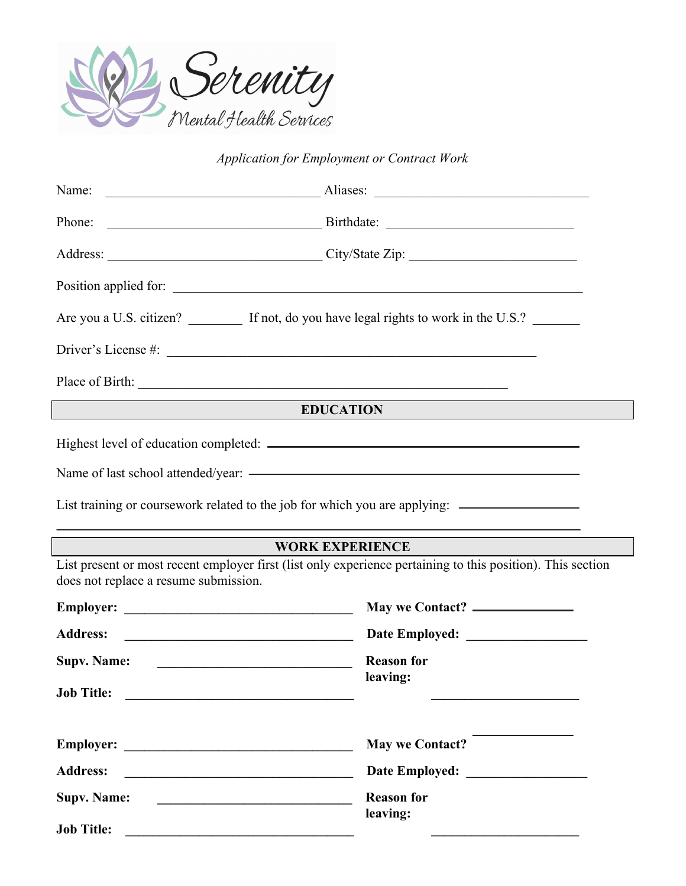

## *Application for Employment or Contract Work*

| Name:                                 | $\overline{\phantom{a}}$ Aliases: $\overline{\phantom{a}}$                                                           |  |  |
|---------------------------------------|----------------------------------------------------------------------------------------------------------------------|--|--|
|                                       |                                                                                                                      |  |  |
|                                       | Address: City/State Zip:                                                                                             |  |  |
|                                       |                                                                                                                      |  |  |
|                                       | Are you a U.S. citizen? ________ If not, do you have legal rights to work in the U.S.? ______                        |  |  |
|                                       |                                                                                                                      |  |  |
|                                       |                                                                                                                      |  |  |
|                                       | <b>EDUCATION</b>                                                                                                     |  |  |
|                                       | List training or coursework related to the job for which you are applying: ________________________                  |  |  |
|                                       | ,我们也不会有什么。""我们的人,我们也不会有什么?""我们的人,我们也不会有什么?""我们的人,我们也不会有什么?""我们的人,我们也不会有什么?""我们的人<br><b>WORK EXPERIENCE</b>           |  |  |
| does not replace a resume submission. | List present or most recent employer first (list only experience pertaining to this position). This section          |  |  |
|                                       | May we Contact?                                                                                                      |  |  |
| <b>Address:</b>                       | <u> El antiga de la contenentación de la contenentación de la contenentación de la contenentación de la contene</u>  |  |  |
| <b>Supv. Name:</b>                    | <b>Reason for</b><br>leaving:                                                                                        |  |  |
| <b>Job Title:</b>                     | <u> 1989 - Johann John Stone, markin film yn y brenin y brenin y brenin y brenin y brenin y brenin y brenin y br</u> |  |  |
| <b>Employer:</b>                      | <b>May we Contact?</b>                                                                                               |  |  |
| <b>Address:</b>                       |                                                                                                                      |  |  |
| <b>Supv. Name:</b>                    | <b>Reason for</b><br>leaving:                                                                                        |  |  |
| <b>Job Title:</b>                     |                                                                                                                      |  |  |